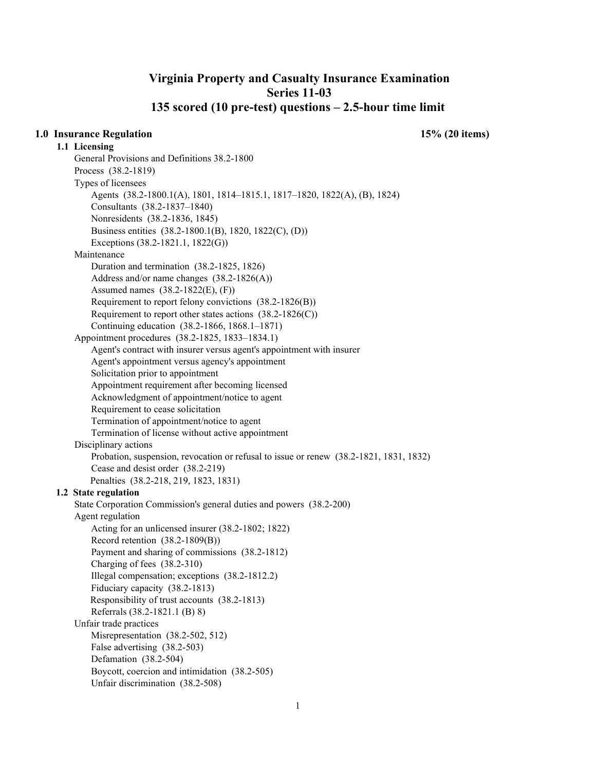# **Virginia Property and Casualty Insurance Examination Series 11-03 135 scored (10 pre-test) questions – 2.5-hour time limit**

**1.1 Licensing** 

**1.0 Insurance Regulation 15% (20 items)** 

General Provisions and Definitions 38.2-1800 Process (38.2-1819) Types of licensees Agents (38.2-1800.1(A), 1801, 1814–1815.1, 1817–1820, 1822(A), (B), 1824) Consultants (38.2-1837–1840) Nonresidents (38.2-1836, 1845) Business entities (38.2-1800.1(B), 1820, 1822(C), (D)) Exceptions (38.2-1821.1, 1822(G)) Maintenance Duration and termination (38.2-1825, 1826) Address and/or name changes (38.2-1826(A)) Assumed names (38.2-1822(E), (F)) Requirement to report felony convictions (38.2-1826(B)) Requirement to report other states actions  $(38.2\n-1826(C))$ Continuing education (38.2-1866, 1868.1–1871) Appointment procedures (38.2-1825, 1833–1834.1) Agent's contract with insurer versus agent's appointment with insurer Agent's appointment versus agency's appointment Solicitation prior to appointment Appointment requirement after becoming licensed Acknowledgment of appointment/notice to agent Requirement to cease solicitation Termination of appointment/notice to agent Termination of license without active appointment Disciplinary actions Probation, suspension, revocation or refusal to issue or renew (38.2-1821, 1831, 1832) Cease and desist order (38.2-219) Penalties (38.2-218, 219, 1823, 1831) **1.2 State regulation**  State Corporation Commission's general duties and powers (38.2-200) Agent regulation Acting for an unlicensed insurer (38.2-1802; 1822) Record retention (38.2-1809(B)) Payment and sharing of commissions (38.2-1812) Charging of fees (38.2-310) Illegal compensation; exceptions (38.2-1812.2) Fiduciary capacity (38.2-1813) Responsibility of trust accounts (38.2-1813) Referrals (38.2-1821.1 (B) 8) Unfair trade practices Misrepresentation (38.2-502, 512) False advertising (38.2-503) Defamation (38.2-504) Boycott, coercion and intimidation (38.2-505) Unfair discrimination (38.2-508)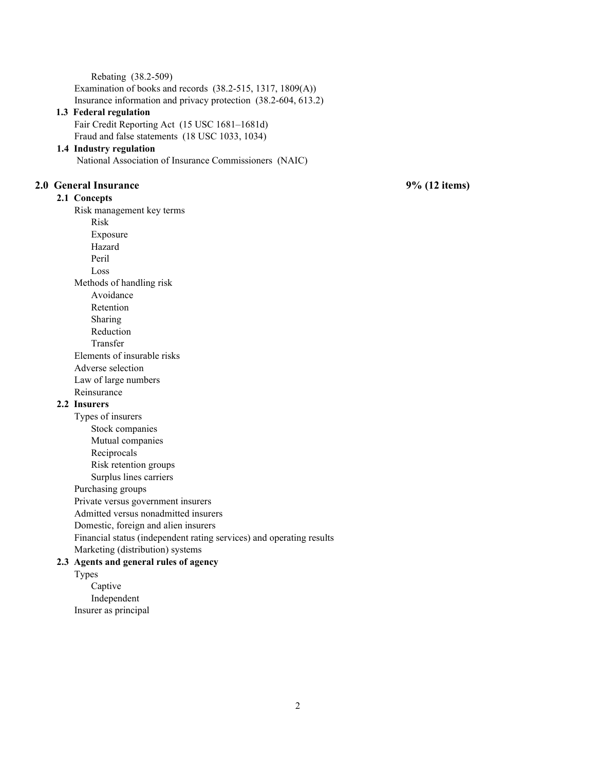Rebating (38.2-509) Examination of books and records (38.2-515, 1317, 1809(A)) Insurance information and privacy protection (38.2-604, 613.2)

# **1.3 Federal regulation**

Fair Credit Reporting Act (15 USC 1681–1681d) Fraud and false statements (18 USC 1033, 1034)

### **1.4 Industry regulation**

National Association of Insurance Commissioners (NAIC)

# **2.0 General Insurance 9% (12 items)**

# **2.1 Concepts**

Risk management key terms

Risk

- Exposure
- Hazard
- Peril

Loss

Methods of handling risk

Avoidance

Retention

Sharing

Reduction

Transfer

Elements of insurable risks Adverse selection

Law of large numbers

Reinsurance

# **2.2 Insurers**

Types of insurers

- Stock companies
- Mutual companies

Reciprocals

Risk retention groups

Surplus lines carriers

Purchasing groups

Private versus government insurers

Admitted versus nonadmitted insurers

Domestic, foreign and alien insurers

Financial status (independent rating services) and operating results

Marketing (distribution) systems

# **2.3 Agents and general rules of agency**

Types Captive Independent Insurer as principal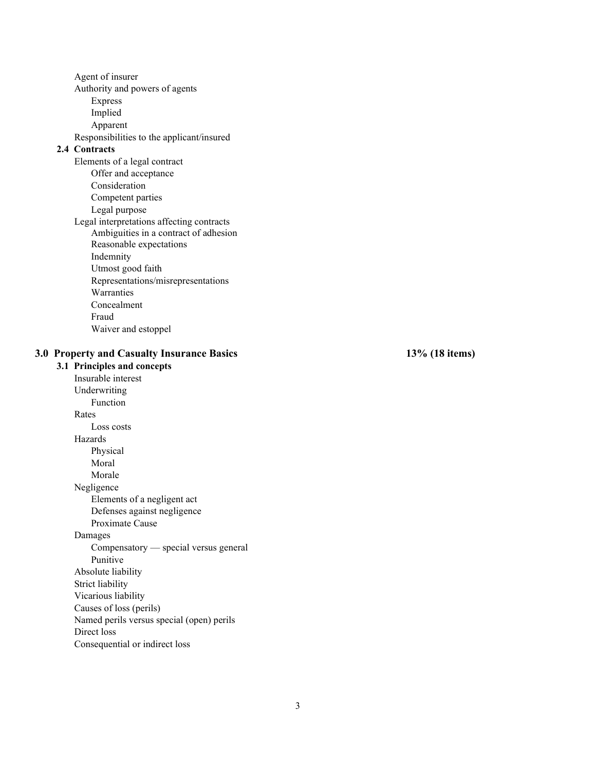Agent of insurer Authority and powers of agents Express Implied Apparent Responsibilities to the applicant/insured **2.4 Contracts**  Elements of a legal contract Offer and acceptance Consideration Competent parties Legal purpose Legal interpretations affecting contracts Ambiguities in a contract of adhesion Reasonable expectations Indemnity Utmost good faith Representations/misrepresentations Warranties Concealment Fraud Waiver and estoppel **3.0 Property and Casualty Insurance Basics 13% (18 items) 3.1 Principles and concepts**  Insurable interest Underwriting Function Rates Loss costs Hazards Physical Moral Morale Negligence Elements of a negligent act Defenses against negligence Proximate Cause Damages Compensatory — special versus general Punitive Absolute liability Strict liability Vicarious liability Causes of loss (perils) Named perils versus special (open) perils Direct loss Consequential or indirect loss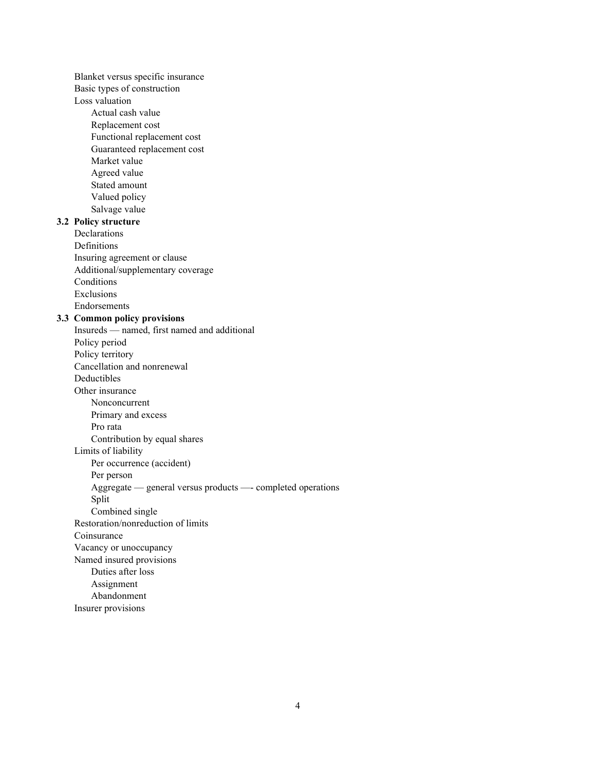Blanket versus specific insurance Basic types of construction Loss valuation Actual cash value Replacement cost Functional replacement cost Guaranteed replacement cost Market value Agreed value Stated amount Valued policy Salvage value **3.2 Policy structure**  Declarations Definitions Insuring agreement or clause Additional/supplementary coverage Conditions Exclusions Endorsements **3.3 Common policy provisions**  Insureds — named, first named and additional Policy period Policy territory Cancellation and nonrenewal Deductibles Other insurance Nonconcurrent Primary and excess Pro rata Contribution by equal shares Limits of liability Per occurrence (accident) Per person Aggregate — general versus products —- completed operations Split Combined single Restoration/nonreduction of limits Coinsurance Vacancy or unoccupancy Named insured provisions Duties after loss Assignment Abandonment Insurer provisions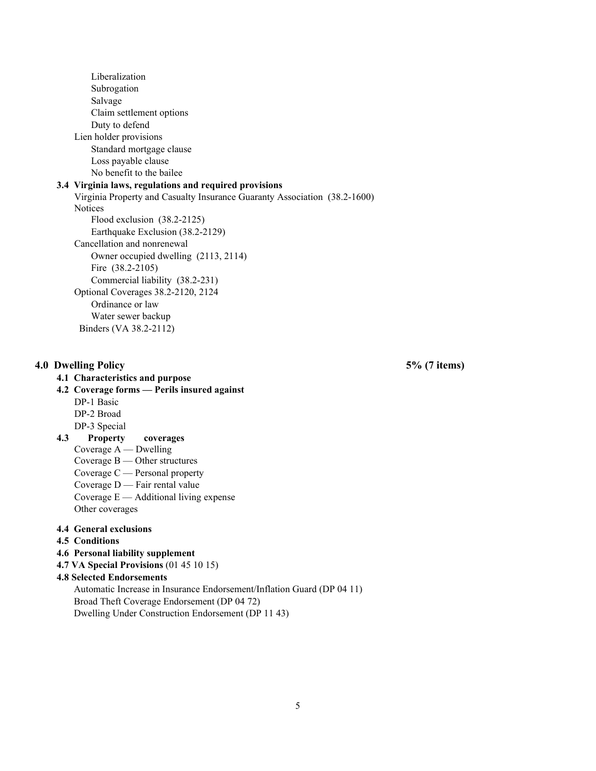Liberalization Subrogation Salvage Claim settlement options Duty to defend Lien holder provisions Standard mortgage clause Loss payable clause No benefit to the bailee

## **3.4 Virginia laws, regulations and required provisions**

Virginia Property and Casualty Insurance Guaranty Association (38.2-1600) **Notices**  Flood exclusion (38.2-2125) Earthquake Exclusion (38.2-2129) Cancellation and nonrenewal Owner occupied dwelling (2113, 2114) Fire (38.2-2105) Commercial liability (38.2-231) Optional Coverages 38.2-2120, 2124 Ordinance or law Water sewer backup Binders (VA 38.2-2112)

### **4.0 Dwelling Policy 5% (7 items)**

### **4.1 Characteristics and purpose**

# **4.2 Coverage forms — Perils insured against**

DP-1 Basic DP-2 Broad

DP-3 Special

#### **4.3 Property coverages**

Coverage A — Dwelling

Coverage B — Other structures

- Coverage C Personal property
- Coverage D Fair rental value
- Coverage E Additional living expense Other coverages

### **4.4 General exclusions**

- **4.5 Conditions**
- **4.6 Personal liability supplement**
- **4.7 VA Special Provisions** (01 45 10 15)

# **4.8 Selected Endorsements**

 Automatic Increase in Insurance Endorsement/Inflation Guard (DP 04 11) Broad Theft Coverage Endorsement (DP 04 72)

Dwelling Under Construction Endorsement (DP 11 43)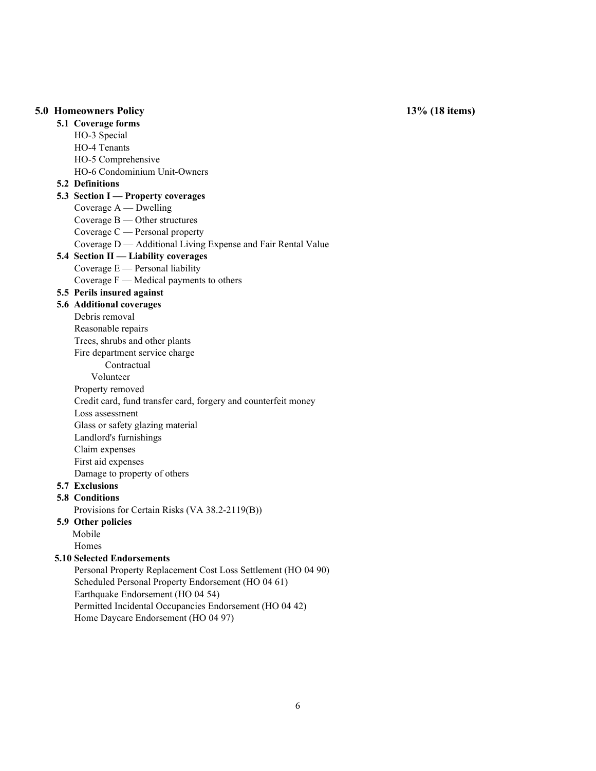### **5.0 Homeowners Policy 13% (18 items)**

**5.1 Coverage forms** 

HO-3 Special HO-4 Tenants HO-5 Comprehensive HO-6 Condominium Unit-Owners **5.2 Definitions 5.3 Section I — Property coverages**  Coverage A — Dwelling Coverage B — Other structures Coverage C — Personal property Coverage D — Additional Living Expense and Fair Rental Value **5.4 Section II — Liability coverages**  Coverage E — Personal liability Coverage F — Medical payments to others **5.5 Perils insured against 5.6 Additional coverages**  Debris removal Reasonable repairs Trees, shrubs and other plants Fire department service charge **Contractual**  Volunteer Property removed Credit card, fund transfer card, forgery and counterfeit money Loss assessment Glass or safety glazing material Landlord's furnishings Claim expenses First aid expenses Damage to property of others **5.7 Exclusions 5.8 Conditions** Provisions for Certain Risks (VA 38.2-2119(B)) **5.9 Other policies**  Mobile Homes  **5.10 Selected Endorsements**  Personal Property Replacement Cost Loss Settlement (HO 04 90) Scheduled Personal Property Endorsement (HO 04 61) Earthquake Endorsement (HO 04 54) Permitted Incidental Occupancies Endorsement (HO 04 42)

Home Daycare Endorsement (HO 04 97)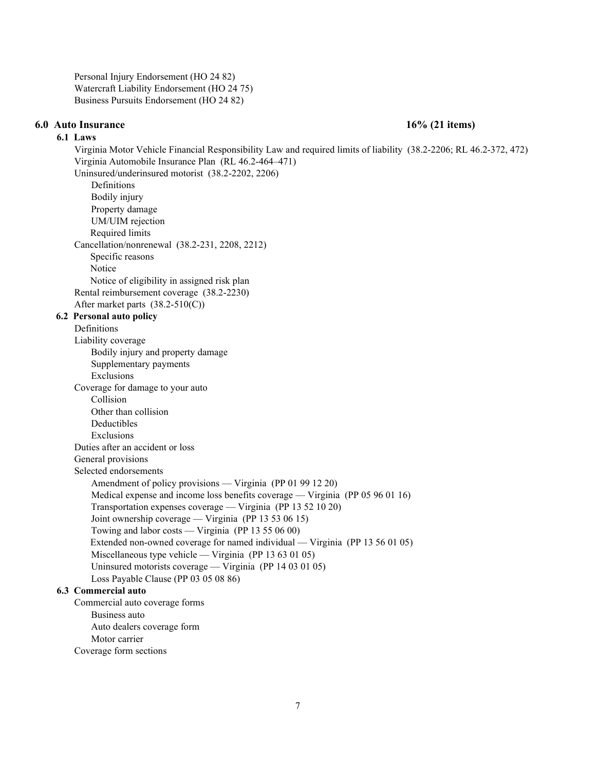Personal Injury Endorsement (HO 24 82) Watercraft Liability Endorsement (HO 24 75) Business Pursuits Endorsement (HO 24 82)

#### **6.0 Auto Insurance 16% (21 items)**

## **6.1 Laws**

Virginia Motor Vehicle Financial Responsibility Law and required limits of liability (38.2-2206; RL 46.2-372, 472) Virginia Automobile Insurance Plan (RL 46.2-464–471) Uninsured/underinsured motorist (38.2-2202, 2206) Definitions Bodily injury Property damage UM/UIM rejection Required limits Cancellation/nonrenewal (38.2-231, 2208, 2212) Specific reasons Notice Notice of eligibility in assigned risk plan Rental reimbursement coverage (38.2-2230) After market parts (38.2-510(C)) **6.2 Personal auto policy**  Definitions Liability coverage Bodily injury and property damage Supplementary payments Exclusions Coverage for damage to your auto Collision Other than collision Deductibles Exclusions Duties after an accident or loss General provisions Selected endorsements Amendment of policy provisions — Virginia (PP 01 99 12 20) Medical expense and income loss benefits coverage — Virginia (PP 05 96 01 16) Transportation expenses coverage — Virginia (PP 13 52 10 20) Joint ownership coverage — Virginia (PP 13 53 06 15) Towing and labor costs — Virginia (PP 13 55 06 00) Extended non-owned coverage for named individual — Virginia (PP 13 56 01 05) Miscellaneous type vehicle — Virginia (PP 13 63 01 05) Uninsured motorists coverage — Virginia (PP 14 03 01 05) Loss Payable Clause (PP 03 05 08 86) **6.3 Commercial auto**  Commercial auto coverage forms Business auto Auto dealers coverage form Motor carrier

Coverage form sections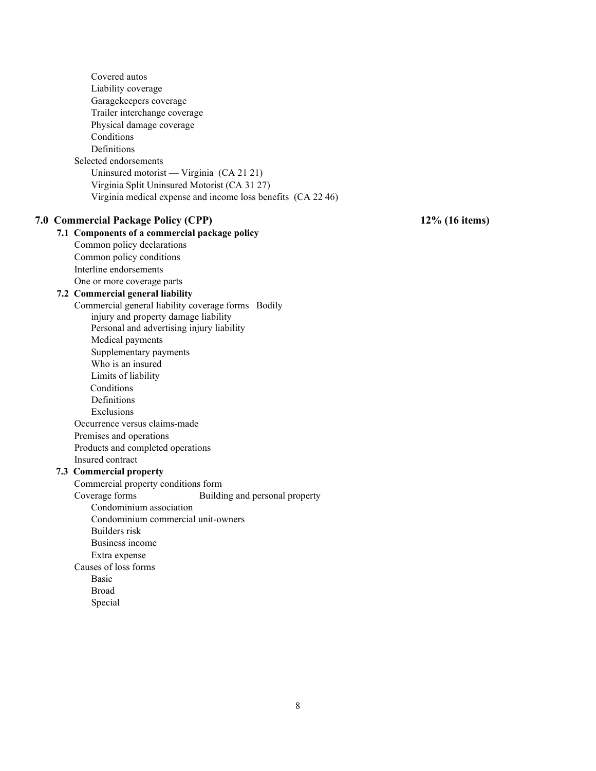Covered autos Liability coverage Garagekeepers coverage Trailer interchange coverage Physical damage coverage Conditions Definitions Selected endorsements Uninsured motorist — Virginia (CA 21 21) Virginia Split Uninsured Motorist (CA 31 27) Virginia medical expense and income loss benefits (CA 22 46) **7.0 Commercial Package Policy (CPP) 12% (16 items) 7.1 Components of a commercial package policy**  Common policy declarations Common policy conditions Interline endorsements One or more coverage parts **7.2 Commercial general liability**  Commercial general liability coverage forms Bodily injury and property damage liability Personal and advertising injury liability Medical payments Supplementary payments Who is an insured Limits of liability Conditions Definitions Exclusions Occurrence versus claims-made Premises and operations Products and completed operations Insured contract **7.3 Commercial property**  Commercial property conditions form Coverage forms Building and personal property Condominium association Condominium commercial unit-owners Builders risk Business income Extra expense Causes of loss forms Basic Broad Special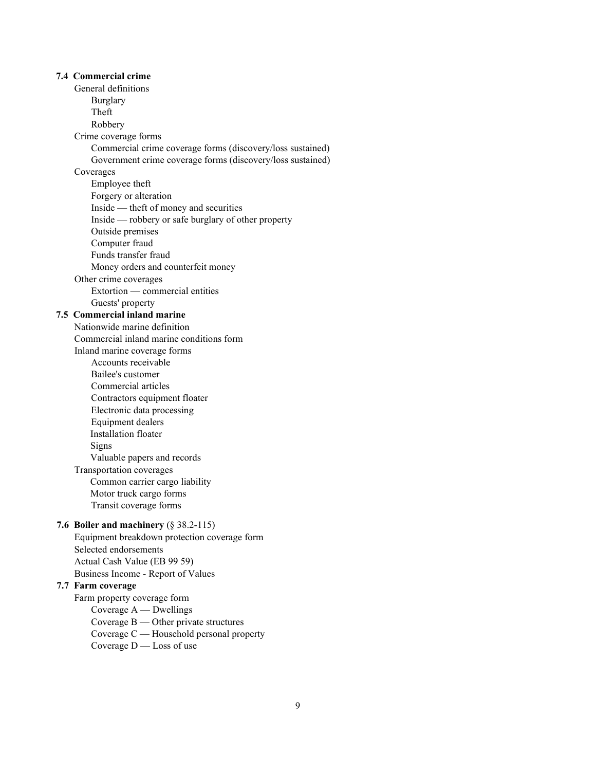# **7.4 Commercial crime**  General definitions Burglary Theft Robbery Crime coverage forms Commercial crime coverage forms (discovery/loss sustained) Government crime coverage forms (discovery/loss sustained) Coverages Employee theft Forgery or alteration Inside — theft of money and securities Inside — robbery or safe burglary of other property Outside premises Computer fraud Funds transfer fraud Money orders and counterfeit money Other crime coverages Extortion — commercial entities Guests' property **7.5 Commercial inland marine**  Nationwide marine definition Commercial inland marine conditions form Inland marine coverage forms Accounts receivable Bailee's customer Commercial articles Contractors equipment floater Electronic data processing Equipment dealers Installation floater Signs Valuable papers and records Transportation coverages Common carrier cargo liability Motor truck cargo forms Transit coverage forms **7.6 Boiler and machinery** (§ 38.2-115) Equipment breakdown protection coverage form Selected endorsements Actual Cash Value (EB 99 59) Business Income - Report of Values **7.7 Farm coverage**  Farm property coverage form Coverage A — Dwellings Coverage B — Other private structures Coverage C — Household personal property

Coverage D — Loss of use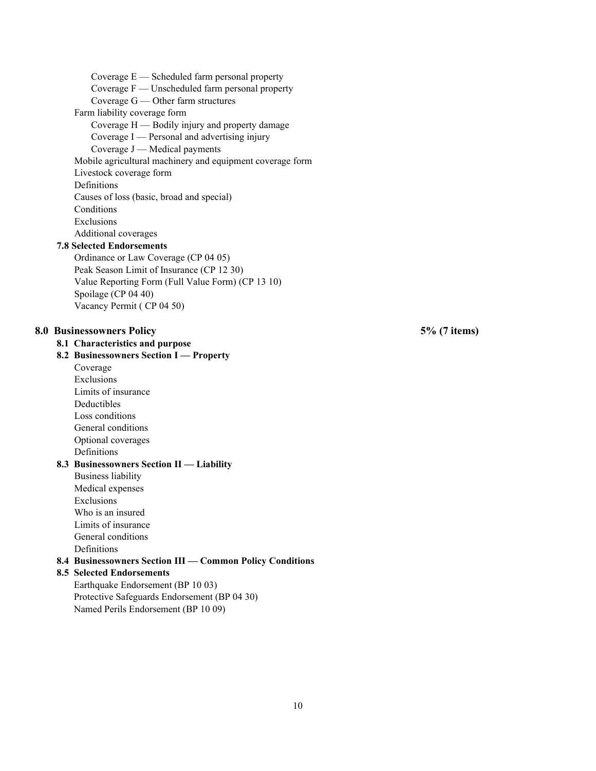Coverage  $E$  — Scheduled farm personal property Coverage F — Unscheduled farm personal property Coverage G — Other farm structures Farm liability coverage form Coverage H — Bodily injury and property damage Coverage I — Personal and advertising injury Coverage J — Medical payments Mobile agricultural machinery and equipment coverage form Livestock coverage form Definitions Causes of loss (basic, broad and special) Conditions Exclusions Additional coverages **7.8 Selected Endorsements**  Ordinance or Law Coverage (CP 04 05) Peak Season Limit of Insurance (CP 12 30) Value Reporting Form (Full Value Form) (CP 13 10) Spoilage (CP 04 40) Vacancy Permit ( CP 04 50) **8.0 Businessowners Policy 5% (7 items) 8.1 Characteristics and purpose 8.2 Businessowners Section I — Property**  Coverage Exclusions Limits of insurance Deductibles Loss conditions General conditions Optional coverages Definitions **8.3 Businessowners Section II — Liability**  Business liability Medical expenses Exclusions Who is an insured Limits of insurance General conditions Definitions **8.4 Businessowners Section III — Common Policy Conditions 8.5 Selected Endorsements**  Earthquake Endorsement (BP 10 03) Protective Safeguards Endorsement (BP 04 30) Named Perils Endorsement (BP 10 09)